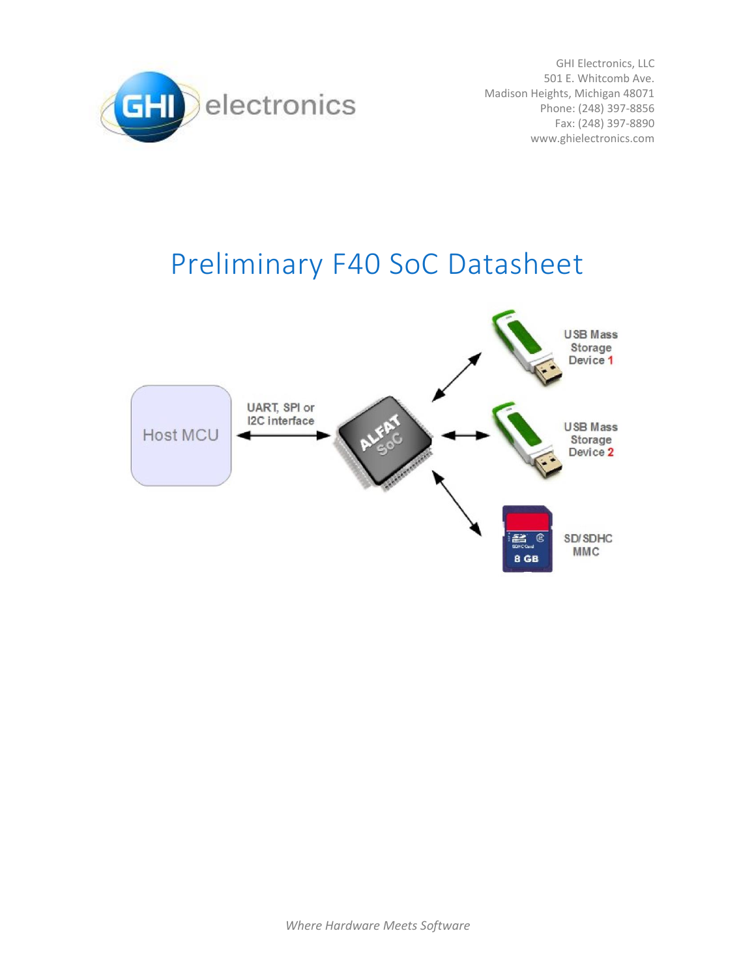

GHI Electronics, LLC 501 E. Whitcomb Ave. Madison Heights, Michigan 48071 Phone: (248) 397-8856 Fax: (248) 397-8890 www.ghielectronics.com

# Preliminary F40 SoC Datasheet

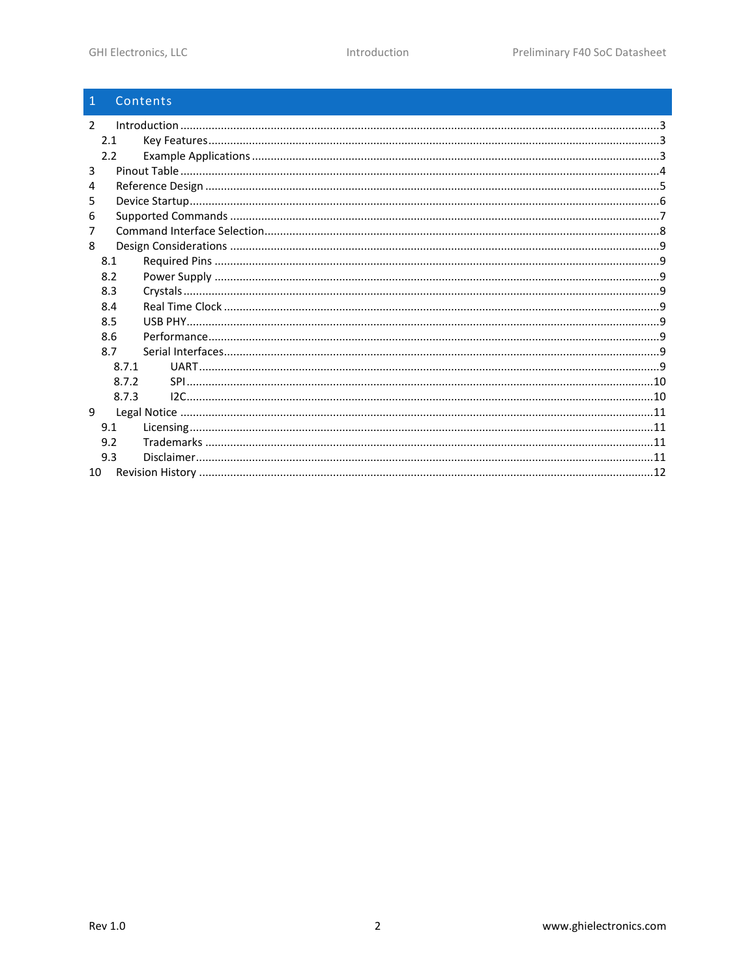| $\mathbf{1}$  | Contents |  |
|---------------|----------|--|
| $\mathcal{P}$ |          |  |
| 2.1           |          |  |
| 2.2           |          |  |
| 3             |          |  |
| 4             |          |  |
| 5             |          |  |
| 6             |          |  |
| 7             |          |  |
| 8             |          |  |
| 8.1           |          |  |
| 8.2           |          |  |
| 8.3           |          |  |
| 8.4           |          |  |
| 8.5           |          |  |
| 8.6           |          |  |
| 8.7           |          |  |
| 8.7.1         |          |  |
| 8.7.2         |          |  |
| 8.7.3         |          |  |
| 9             |          |  |
| 9.1           |          |  |
| 9.2           |          |  |
| 9.3           |          |  |
| 10            |          |  |
|               |          |  |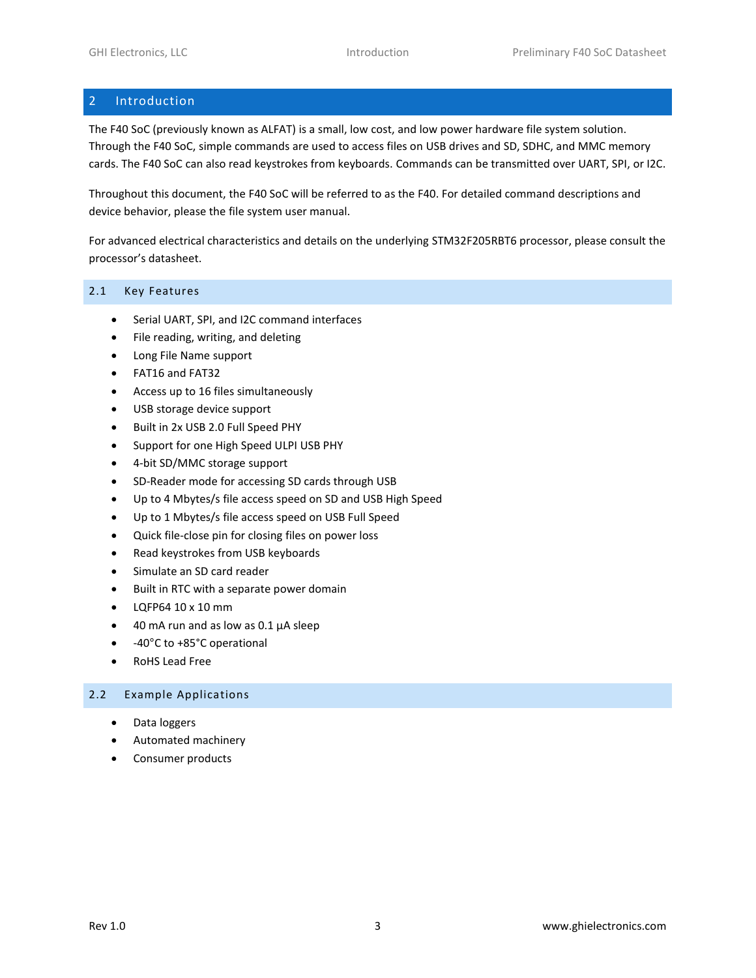# <span id="page-2-0"></span>2 Introduction

The F40 SoC (previously known as ALFAT) is a small, low cost, and low power hardware file system solution. Through the F40 SoC, simple commands are used to access files on USB drives and SD, SDHC, and MMC memory cards. The F40 SoC can also read keystrokes from keyboards. Commands can be transmitted over UART, SPI, or I2C.

Throughout this document, the F40 SoC will be referred to as the F40. For detailed command descriptions and device behavior, please the file system user manual.

For advanced electrical characteristics and details on the underlying STM32F205RBT6 processor, please consult the processor's datasheet.

#### <span id="page-2-1"></span>2.1 Key Features

- Serial UART, SPI, and I2C command interfaces
- File reading, writing, and deleting
- Long File Name support
- FAT16 and FAT32
- Access up to 16 files simultaneously
- USB storage device support
- Built in 2x USB 2.0 Full Speed PHY
- Support for one High Speed ULPI USB PHY
- 4-bit SD/MMC storage support
- SD-Reader mode for accessing SD cards through USB
- Up to 4 Mbytes/s file access speed on SD and USB High Speed
- Up to 1 Mbytes/s file access speed on USB Full Speed
- Quick file-close pin for closing files on power loss
- Read keystrokes from USB keyboards
- Simulate an SD card reader
- Built in RTC with a separate power domain
- LQFP64 10 x 10 mm
- $\bullet$  40 mA run and as low as 0.1  $\mu$ A sleep
- -40°C to +85°C operational
- RoHS Lead Free

#### <span id="page-2-2"></span>2.2 Example Applications

- Data loggers
- Automated machinery
- Consumer products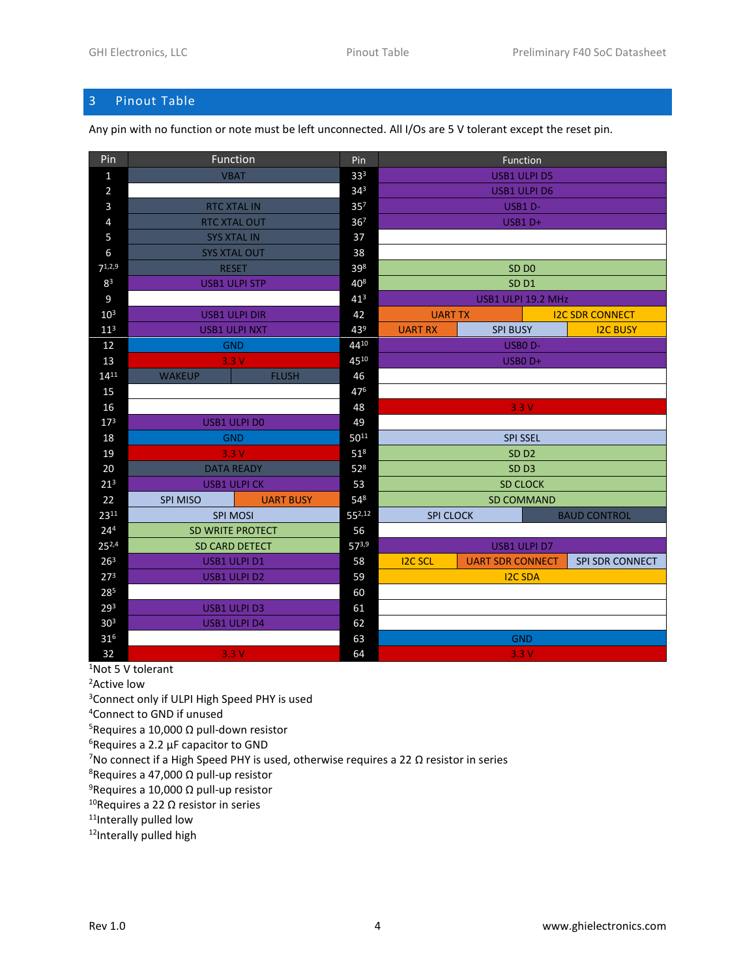# <span id="page-3-0"></span>Pinout Table

Any pin with no function or note must be left unconnected. All I/Os are 5 V tolerant except the reset pin.

|                                        | Function<br>Pin         |                  | Pin             | Function                                  |                     |                        |                        |  |
|----------------------------------------|-------------------------|------------------|-----------------|-------------------------------------------|---------------------|------------------------|------------------------|--|
| $\mathbf{1}$                           | <b>VBAT</b>             |                  | 333             | <b>USB1 ULPI D5</b>                       |                     |                        |                        |  |
| $\overline{2}$                         |                         |                  | $34^{3}$        |                                           | <b>USB1 ULPI D6</b> |                        |                        |  |
| $\mathbf{3}$                           | <b>RTC XTAL IN</b>      |                  | 35 <sup>7</sup> |                                           | USB1 D-             |                        |                        |  |
| $\sqrt{4}$                             | <b>RTC XTAL OUT</b>     |                  | 367             |                                           | USB1D+              |                        |                        |  |
| 5                                      | <b>SYS XTAL IN</b>      |                  | 37              |                                           |                     |                        |                        |  |
| 6                                      | <b>SYS XTAL OUT</b>     |                  | 38              |                                           |                     |                        |                        |  |
| 71,2,9                                 | <b>RESET</b>            |                  | 398             | SD <sub>D0</sub>                          |                     |                        |                        |  |
| 83                                     | <b>USB1 ULPI STP</b>    |                  | 408             | SD <sub>D1</sub>                          |                     |                        |                        |  |
| 9                                      |                         |                  | 41 <sup>3</sup> | USB1 ULPI 19.2 MHz                        |                     |                        |                        |  |
| 10 <sup>3</sup>                        | <b>USB1 ULPI DIR</b>    |                  | 42              |                                           | <b>UART TX</b>      |                        | <b>I2C SDR CONNECT</b> |  |
| 11 <sup>3</sup>                        | <b>USB1 ULPI NXT</b>    |                  | 439             | <b>UART RX</b>                            | <b>SPI BUSY</b>     |                        | <b>I2C BUSY</b>        |  |
| 12                                     | <b>GND</b>              |                  | 4410            |                                           | USBO <sub>D</sub> - |                        |                        |  |
| 13                                     | 3.3V                    |                  | 4510            |                                           | USBO <sub>D+</sub>  |                        |                        |  |
| $14^{11}$                              | <b>WAKEUP</b>           | <b>FLUSH</b>     | 46              |                                           |                     |                        |                        |  |
| 15                                     |                         |                  | 476             |                                           |                     |                        |                        |  |
| 16                                     |                         |                  | 48              | 3.3V                                      |                     |                        |                        |  |
| 17 <sup>3</sup>                        | <b>USB1 ULPI D0</b>     |                  | 49              |                                           |                     |                        |                        |  |
| 18                                     | <b>GND</b>              |                  | $50^{11}$       |                                           | <b>SPI SSEL</b>     |                        |                        |  |
| 19                                     | 3.3V                    |                  | 51 <sup>8</sup> | SD <sub>D2</sub>                          |                     |                        |                        |  |
| 20                                     | <b>DATA READY</b>       |                  | 52 <sup>8</sup> | SD <sub>D3</sub>                          |                     |                        |                        |  |
| $21^{3}$                               | <b>USB1 ULPICK</b>      |                  | 53              | <b>SD CLOCK</b>                           |                     |                        |                        |  |
| 22                                     | <b>SPI MISO</b>         | <b>UART BUSY</b> | 548             | <b>SD COMMAND</b>                         |                     |                        |                        |  |
| 2311                                   | <b>SPI MOSI</b>         |                  | $55^{2,12}$     | <b>SPI CLOCK</b><br><b>BAUD CONTROL</b>   |                     |                        |                        |  |
| 24 <sup>4</sup>                        | <b>SD WRITE PROTECT</b> |                  | 56              |                                           |                     |                        |                        |  |
| $25^{2,4}$                             | <b>SD CARD DETECT</b>   |                  | 573,9           | <b>USB1 ULPI D7</b>                       |                     |                        |                        |  |
| 26 <sup>3</sup>                        | USB1 ULPI D1            |                  | 58              | <b>I2C SCL</b><br><b>UART SDR CONNECT</b> |                     | <b>SPI SDR CONNECT</b> |                        |  |
| 27 <sup>3</sup><br><b>USB1 ULPI D2</b> |                         | 59               | <b>I2C SDA</b>  |                                           |                     |                        |                        |  |
| 285                                    |                         |                  | 60              |                                           |                     |                        |                        |  |
| 29 <sup>3</sup>                        | <b>USB1 ULPI D3</b>     |                  | 61              |                                           |                     |                        |                        |  |
| 30 <sup>3</sup><br><b>USB1 ULPI D4</b> |                         | 62               |                 |                                           |                     |                        |                        |  |
| 31 <sup>6</sup>                        |                         |                  | 63              |                                           | <b>GND</b>          |                        |                        |  |
| 32<br>3.3V                             |                         | 64               | 3.3V            |                                           |                     |                        |                        |  |

Not 5 V tolerant

<sup>2</sup>Active low

<sup>3</sup>Connect only if ULPI High Speed PHY is used

Connect to GND if unused

<sup>5</sup>Requires a 10,000 Ω pull-down resistor

Requires a 2.2 μF capacitor to GND

<sup>7</sup>No connect if a High Speed PHY is used, otherwise requires a 22 Ω resistor in series

<sup>8</sup>Requires a 47,000 Ω pull-up resistor

<sup>9</sup>Requires a 10,000 Ω pull-up resistor

<sup>10</sup>Requires a 22 Ω resistor in series

11Interally pulled low

12Interally pulled high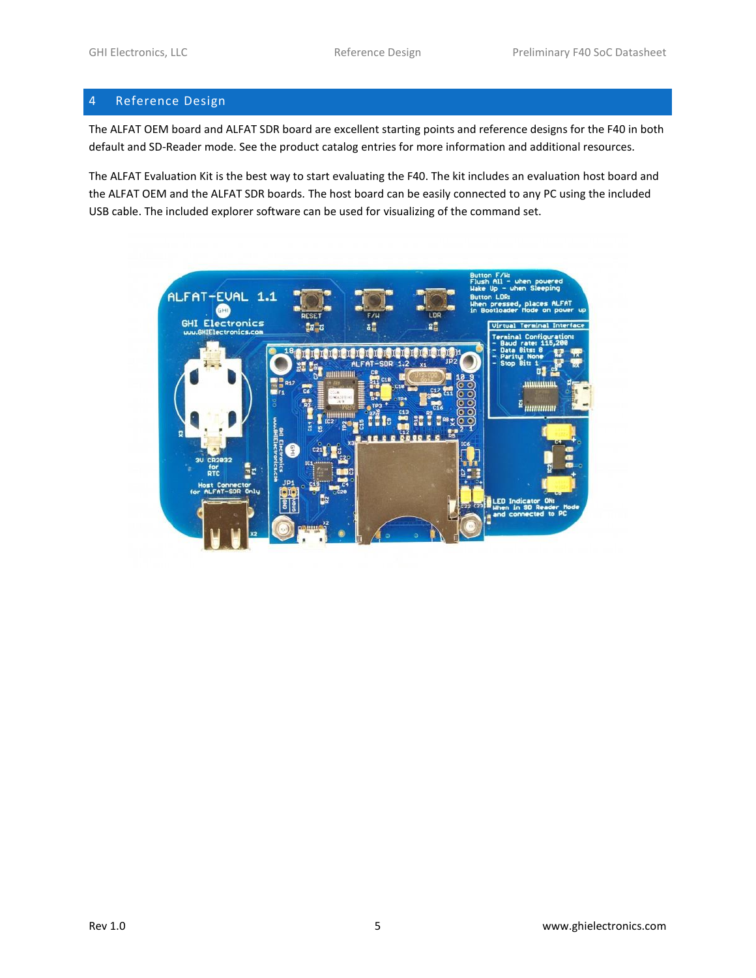# <span id="page-4-0"></span>4 Reference Design

The ALFAT OEM board and ALFAT SDR board are excellent starting points and reference designs for the F40 in both default and SD-Reader mode. See the product catalog entries for more information and additional resources.

The ALFAT Evaluation Kit is the best way to start evaluating the F40. The kit includes an evaluation host board and the ALFAT OEM and the ALFAT SDR boards. The host board can be easily connected to any PC using the included USB cable. The included explorer software can be used for visualizing of the command set.

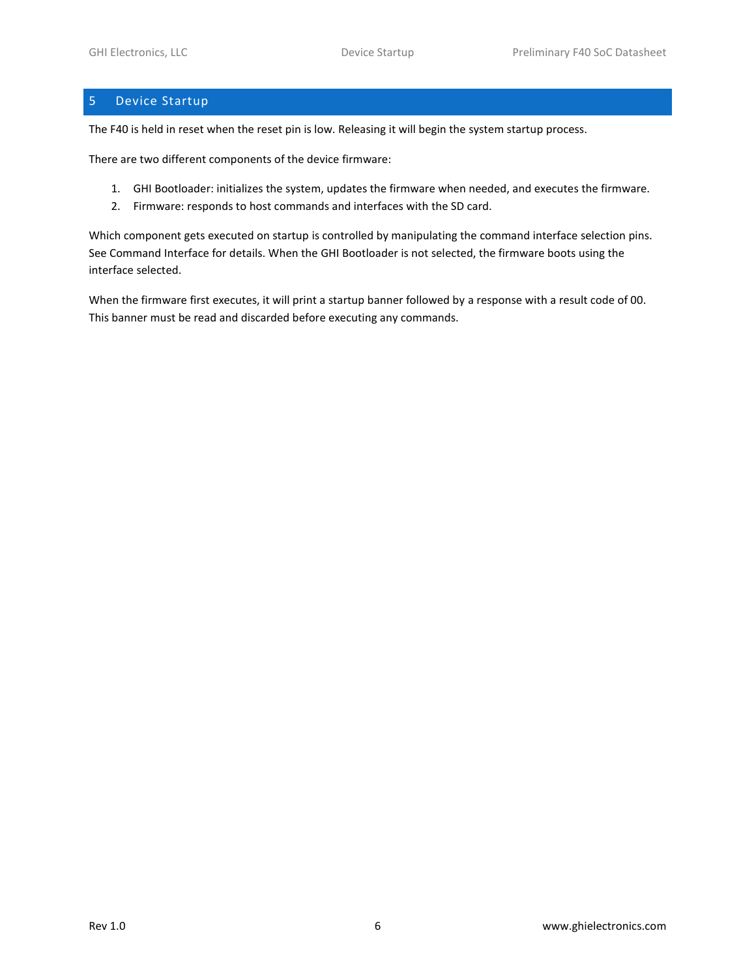# <span id="page-5-0"></span>5 Device Startup

The F40 is held in reset when the reset pin is low. Releasing it will begin the system startup process.

There are two different components of the device firmware:

- 1. GHI Bootloader: initializes the system, updates the firmware when needed, and executes the firmware.
- 2. Firmware: responds to host commands and interfaces with the SD card.

Which component gets executed on startup is controlled by manipulating the command interface selection pins. See [Command](#page-7-0) Interface for details. When the GHI Bootloader is not selected, the firmware boots using the interface selected.

When the firmware first executes, it will print a startup banner followed by a response with a result code of 00. This banner must be read and discarded before executing any commands.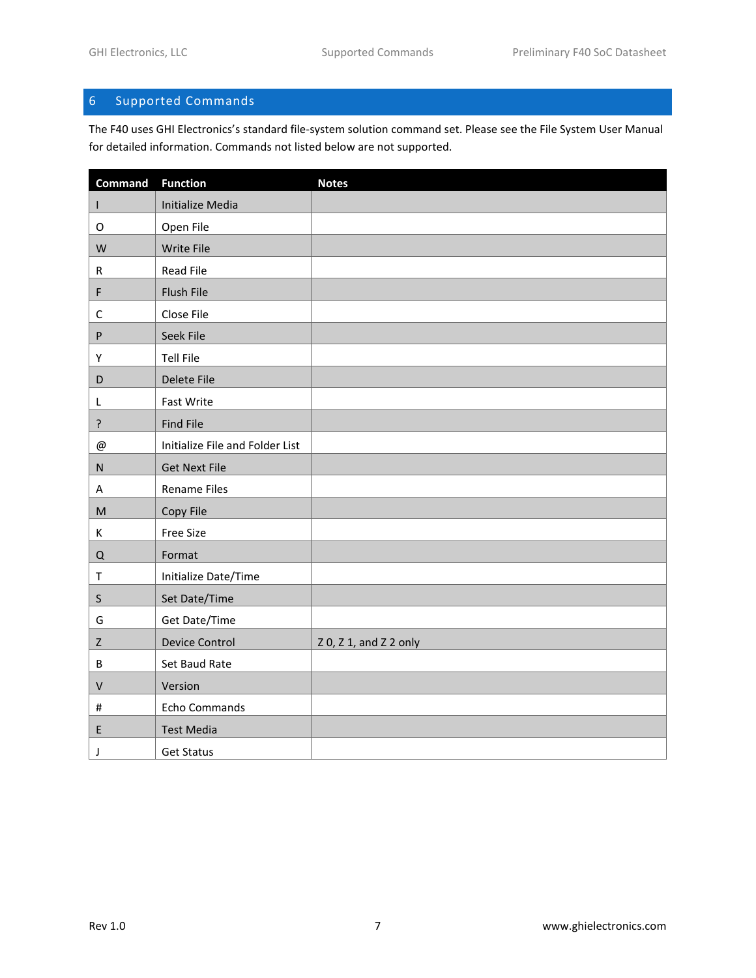# <span id="page-6-0"></span>6 Supported Commands

The F40 uses GHI Electronics's standard file-system solution command set. Please see the File System User Manual for detailed information. Commands not listed below are not supported.

| <b>Command</b>                                                                        | <b>Function</b>                 | <b>Notes</b>           |
|---------------------------------------------------------------------------------------|---------------------------------|------------------------|
| L                                                                                     | <b>Initialize Media</b>         |                        |
| O                                                                                     | Open File                       |                        |
| W                                                                                     | Write File                      |                        |
| R                                                                                     | <b>Read File</b>                |                        |
| F                                                                                     | Flush File                      |                        |
| C                                                                                     | Close File                      |                        |
| ${\sf P}$                                                                             | Seek File                       |                        |
| Υ                                                                                     | <b>Tell File</b>                |                        |
| $\mathsf D$                                                                           | Delete File                     |                        |
| L                                                                                     | Fast Write                      |                        |
| $\overline{?}$                                                                        | <b>Find File</b>                |                        |
| @                                                                                     | Initialize File and Folder List |                        |
| ${\sf N}$                                                                             | <b>Get Next File</b>            |                        |
| A                                                                                     | <b>Rename Files</b>             |                        |
| $\mathsf{M}% _{T}=\mathsf{M}_{T}\!\left( a,b\right) ,\ \mathsf{M}_{T}=\mathsf{M}_{T}$ | Copy File                       |                        |
| К                                                                                     | <b>Free Size</b>                |                        |
| Q                                                                                     | Format                          |                        |
| $\top$                                                                                | Initialize Date/Time            |                        |
| $\sf S$                                                                               | Set Date/Time                   |                        |
| G                                                                                     | Get Date/Time                   |                        |
| $\mathsf Z$                                                                           | <b>Device Control</b>           | Z 0, Z 1, and Z 2 only |
| B                                                                                     | Set Baud Rate                   |                        |
| $\sf V$                                                                               | Version                         |                        |
| $\#$                                                                                  | Echo Commands                   |                        |
| Ε                                                                                     | <b>Test Media</b>               |                        |
| J                                                                                     | <b>Get Status</b>               |                        |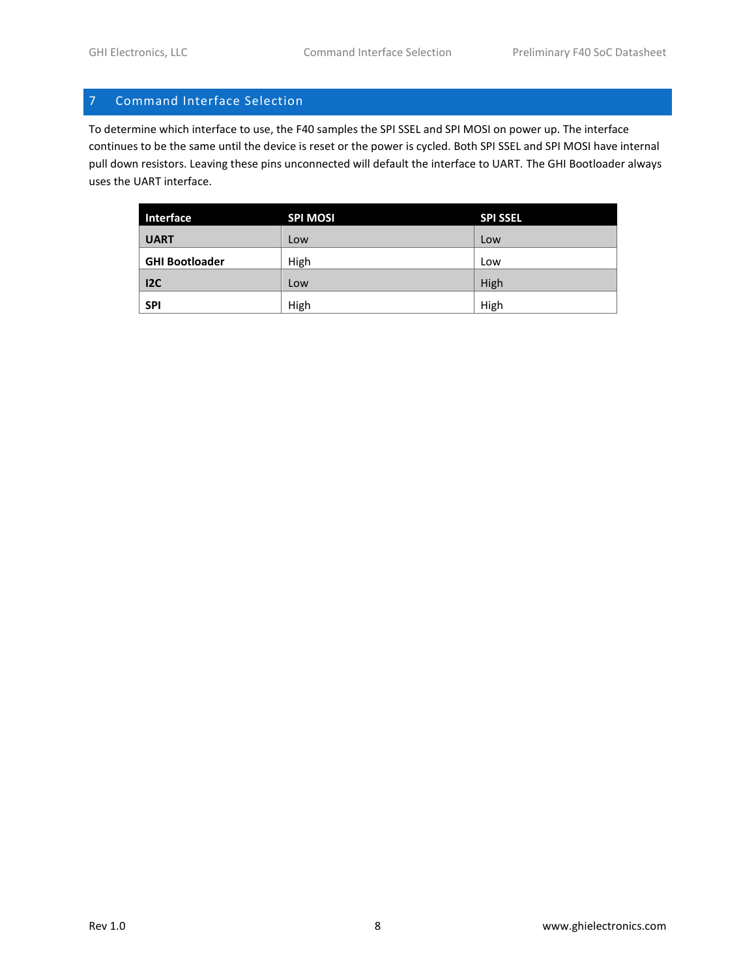# <span id="page-7-0"></span>7 Command Interface Selection

To determine which interface to use, the F40 samples the SPI SSEL and SPI MOSI on power up. The interface continues to be the same until the device is reset or the power is cycled. Both SPI SSEL and SPI MOSI have internal pull down resistors. Leaving these pins unconnected will default the interface to UART. The GHI Bootloader always uses the UART interface.

| Interface             | <b>SPI MOSI</b> | <b>SPI SSEL</b> |
|-----------------------|-----------------|-----------------|
| <b>UART</b>           | Low             | Low             |
| <b>GHI Bootloader</b> | High            | Low             |
| 12C                   | Low             | High            |
| <b>SPI</b>            | High            | High            |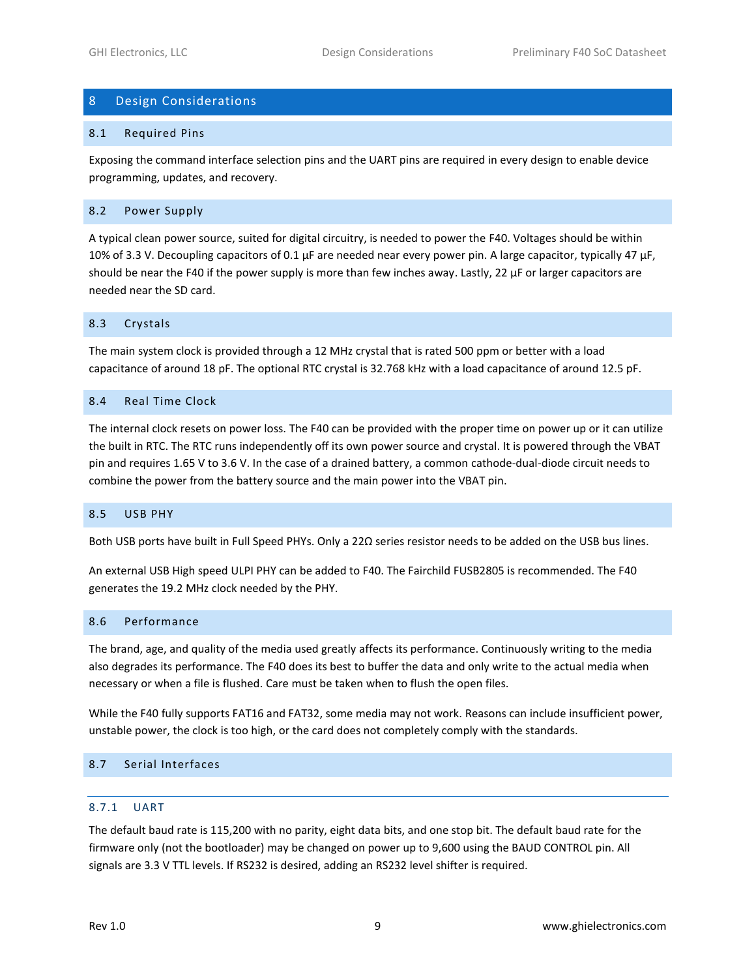## <span id="page-8-0"></span>8 Design Considerations

#### <span id="page-8-1"></span>8.1 Required Pins

Exposing the command interface selection pins and the UART pins are required in every design to enable device programming, updates, and recovery.

#### <span id="page-8-2"></span>8.2 Power Supply

A typical clean power source, suited for digital circuitry, is needed to power the F40. Voltages should be within 10% of 3.3 V. Decoupling capacitors of 0.1 μF are needed near every power pin. A large capacitor, typically 47 μF, should be near the F40 if the power supply is more than few inches away. Lastly, 22 μF or larger capacitors are needed near the SD card.

#### <span id="page-8-3"></span>8.3 Crystals

The main system clock is provided through a 12 MHz crystal that is rated 500 ppm or better with a load capacitance of around 18 pF. The optional RTC crystal is 32.768 kHz with a load capacitance of around 12.5 pF.

#### <span id="page-8-4"></span>8.4 Real Time Clock

The internal clock resets on power loss. The F40 can be provided with the proper time on power up or it can utilize the built in RTC. The RTC runs independently off its own power source and crystal. It is powered through the VBAT pin and requires 1.65 V to 3.6 V. In the case of a drained battery, a common cathode-dual-diode circuit needs to combine the power from the battery source and the main power into the VBAT pin.

#### <span id="page-8-5"></span>8.5 USB PHY

Both USB ports have built in Full Speed PHYs. Only a 22Ω series resistor needs to be added on the USB bus lines.

An external USB High speed ULPI PHY can be added to F40. The Fairchild FUSB2805 is recommended. The F40 generates the 19.2 MHz clock needed by the PHY.

#### <span id="page-8-6"></span>8.6 Performance

The brand, age, and quality of the media used greatly affects its performance. Continuously writing to the media also degrades its performance. The F40 does its best to buffer the data and only write to the actual media when necessary or when a file is flushed. Care must be taken when to flush the open files.

While the F40 fully supports FAT16 and FAT32, some media may not work. Reasons can include insufficient power, unstable power, the clock is too high, or the card does not completely comply with the standards.

#### <span id="page-8-7"></span>8.7 Serial Interfaces

#### <span id="page-8-8"></span>8.7.1 UART

The default baud rate is 115,200 with no parity, eight data bits, and one stop bit. The default baud rate for the firmware only (not the bootloader) may be changed on power up to 9,600 using the BAUD CONTROL pin. All signals are 3.3 V TTL levels. If RS232 is desired, adding an RS232 level shifter is required.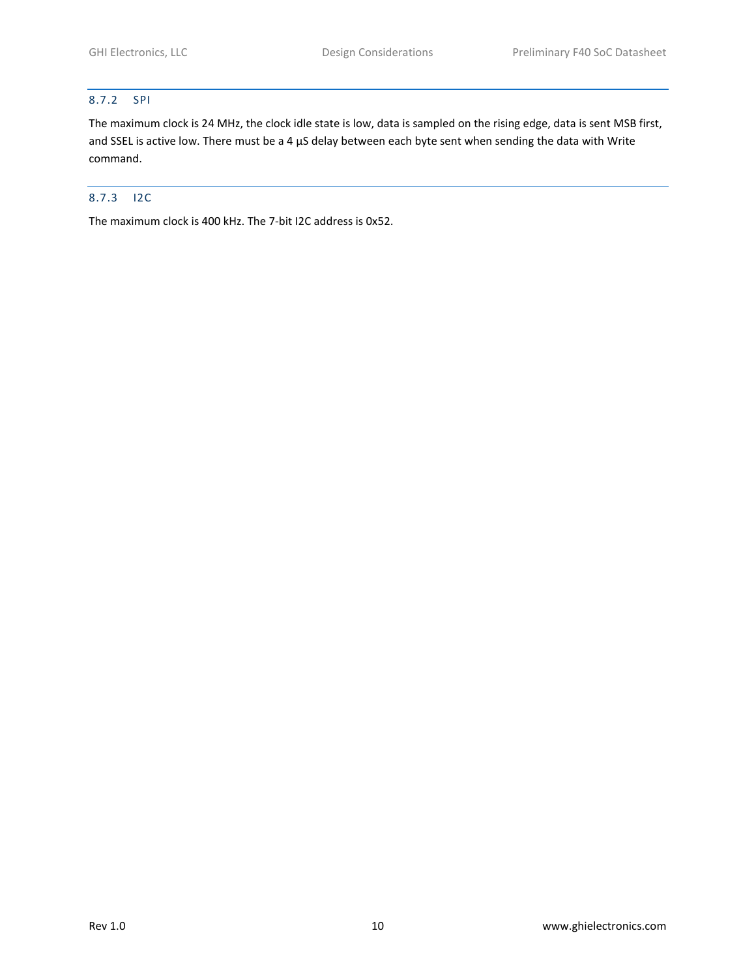#### <span id="page-9-0"></span>8.7.2 SPI

The maximum clock is 24 MHz, the clock idle state is low, data is sampled on the rising edge, data is sent MSB first, and SSEL is active low. There must be a 4 µS delay between each byte sent when sending the data with Write command.

## <span id="page-9-1"></span>8.7.3 I2C

The maximum clock is 400 kHz. The 7-bit I2C address is 0x52.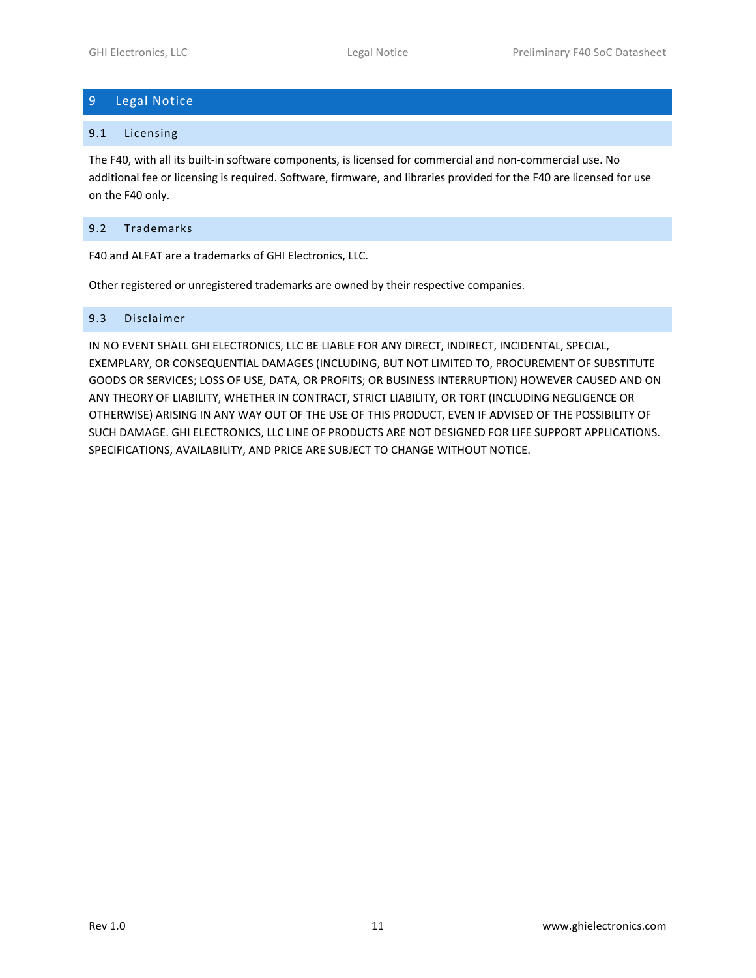# <span id="page-10-0"></span>9 Legal Notice

#### <span id="page-10-1"></span>9.1 Licensing

The F40, with all its built-in software components, is licensed for commercial and non-commercial use. No additional fee or licensing is required. Software, firmware, and libraries provided for the F40 are licensed for use on the F40 only.

### <span id="page-10-2"></span>9.2 Trademarks

F40 and ALFAT are a trademarks of GHI Electronics, LLC.

Other registered or unregistered trademarks are owned by their respective companies.

#### <span id="page-10-3"></span>9.3 Disclaimer

IN NO EVENT SHALL GHI ELECTRONICS, LLC BE LIABLE FOR ANY DIRECT, INDIRECT, INCIDENTAL, SPECIAL, EXEMPLARY, OR CONSEQUENTIAL DAMAGES (INCLUDING, BUT NOT LIMITED TO, PROCUREMENT OF SUBSTITUTE GOODS OR SERVICES; LOSS OF USE, DATA, OR PROFITS; OR BUSINESS INTERRUPTION) HOWEVER CAUSED AND ON ANY THEORY OF LIABILITY, WHETHER IN CONTRACT, STRICT LIABILITY, OR TORT (INCLUDING NEGLIGENCE OR OTHERWISE) ARISING IN ANY WAY OUT OF THE USE OF THIS PRODUCT, EVEN IF ADVISED OF THE POSSIBILITY OF SUCH DAMAGE. GHI ELECTRONICS, LLC LINE OF PRODUCTS ARE NOT DESIGNED FOR LIFE SUPPORT APPLICATIONS. SPECIFICATIONS, AVAILABILITY, AND PRICE ARE SUBJECT TO CHANGE WITHOUT NOTICE.